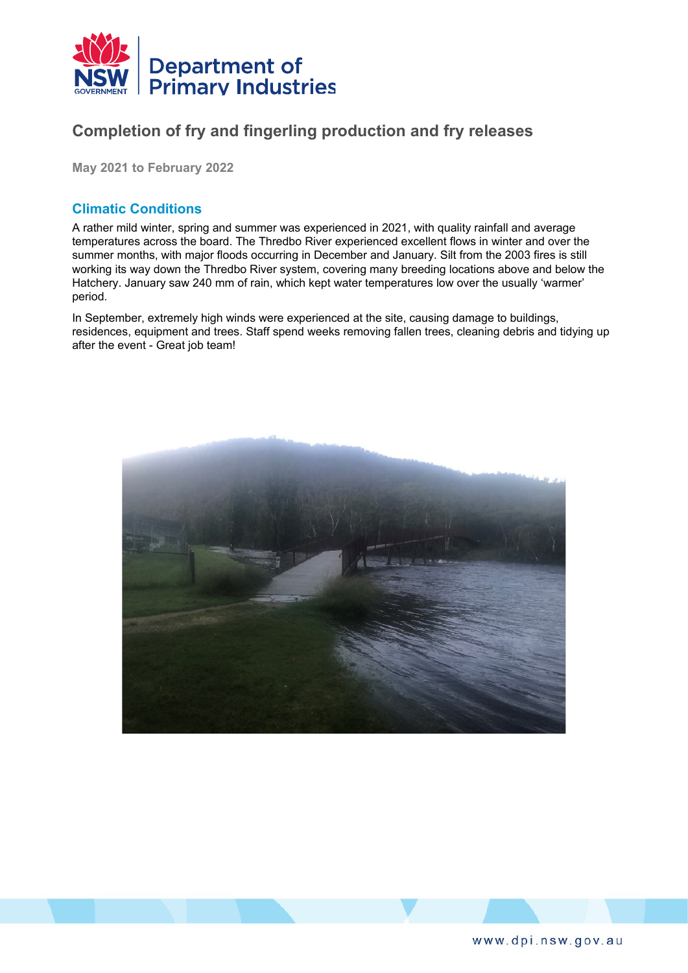

# **Completion of fry and fingerling production and fry releases**

**May 2021 to February 2022**

### **Climatic Conditions**

A rather mild winter, spring and summer was experienced in 2021, with quality rainfall and average temperatures across the board. The Thredbo River experienced excellent flows in winter and over the summer months, with major floods occurring in December and January. Silt from the 2003 fires is still working its way down the Thredbo River system, covering many breeding locations above and below the Hatchery. January saw 240 mm of rain, which kept water temperatures low over the usually 'warmer' period.

In September, extremely high winds were experienced at the site, causing damage to buildings, residences, equipment and trees. Staff spend weeks removing fallen trees, cleaning debris and tidying up after the event - Great job team!



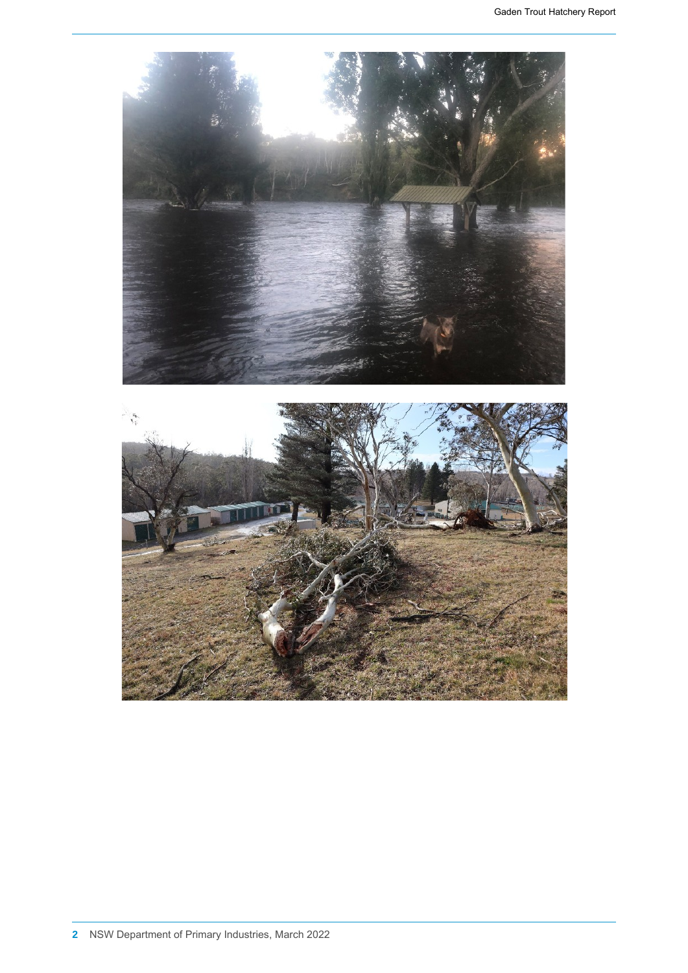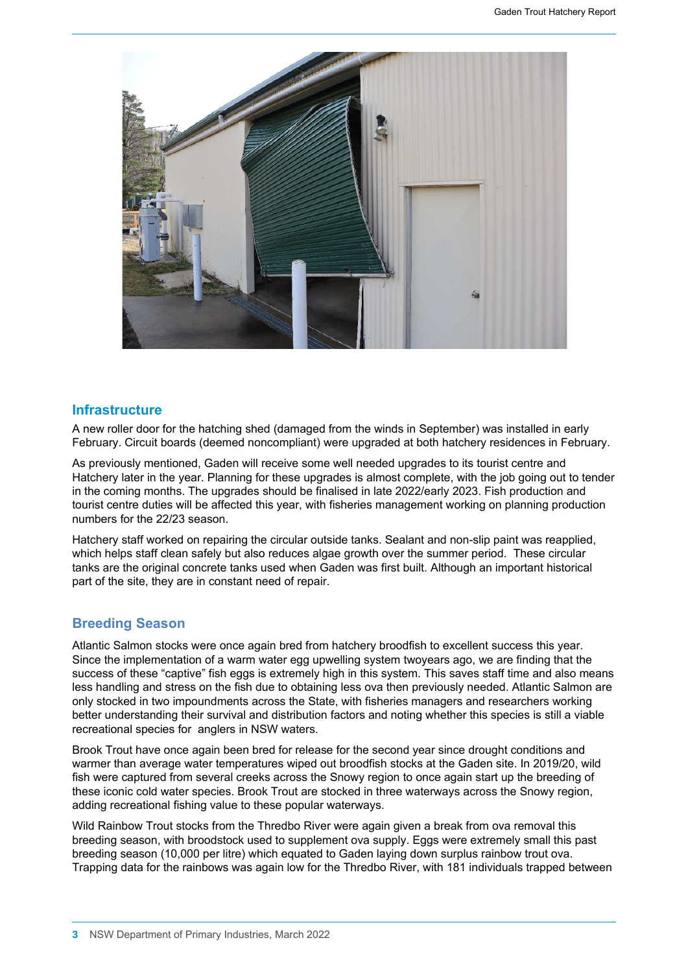

#### **Infrastructure**

A new roller door for the hatching shed (damaged from the winds in September) was installed in early February. Circuit boards (deemed noncompliant) were upgraded at both hatchery residences in February.

As previously mentioned, Gaden will receive some well needed upgrades to its tourist centre and Hatchery later in the year. Planning for these upgrades is almost complete, with the job going out to tender in the coming months. The upgrades should be finalised in late 2022/early 2023. Fish production and tourist centre duties will be affected this year, with fisheries management working on planning production numbers for the 22/23 season.

Hatchery staff worked on repairing the circular outside tanks. Sealant and non-slip paint was reapplied, which helps staff clean safely but also reduces algae growth over the summer period. These circular tanks are the original concrete tanks used when Gaden was first built. Although an important historical part of the site, they are in constant need of repair.

# **Breeding Season**

Atlantic Salmon stocks were once again bred from hatchery broodfish to excellent success this year. Since the implementation of a warm water egg upwelling system twoyears ago, we are finding that the success of these "captive" fish eggs is extremely high in this system. This saves staff time and also means less handling and stress on the fish due to obtaining less ova then previously needed. Atlantic Salmon are only stocked in two impoundments across the State, with fisheries managers and researchers working better understanding their survival and distribution factors and noting whether this species is still a viable recreational species for anglers in NSW waters.

Brook Trout have once again been bred for release for the second year since drought conditions and warmer than average water temperatures wiped out broodfish stocks at the Gaden site. In 2019/20, wild fish were captured from several creeks across the Snowy region to once again start up the breeding of these iconic cold water species. Brook Trout are stocked in three waterways across the Snowy region, adding recreational fishing value to these popular waterways.

Wild Rainbow Trout stocks from the Thredbo River were again given a break from ova removal this breeding season, with broodstock used to supplement ova supply. Eggs were extremely small this past breeding season (10,000 per litre) which equated to Gaden laying down surplus rainbow trout ova. Trapping data for the rainbows was again low for the Thredbo River, with 181 individuals trapped between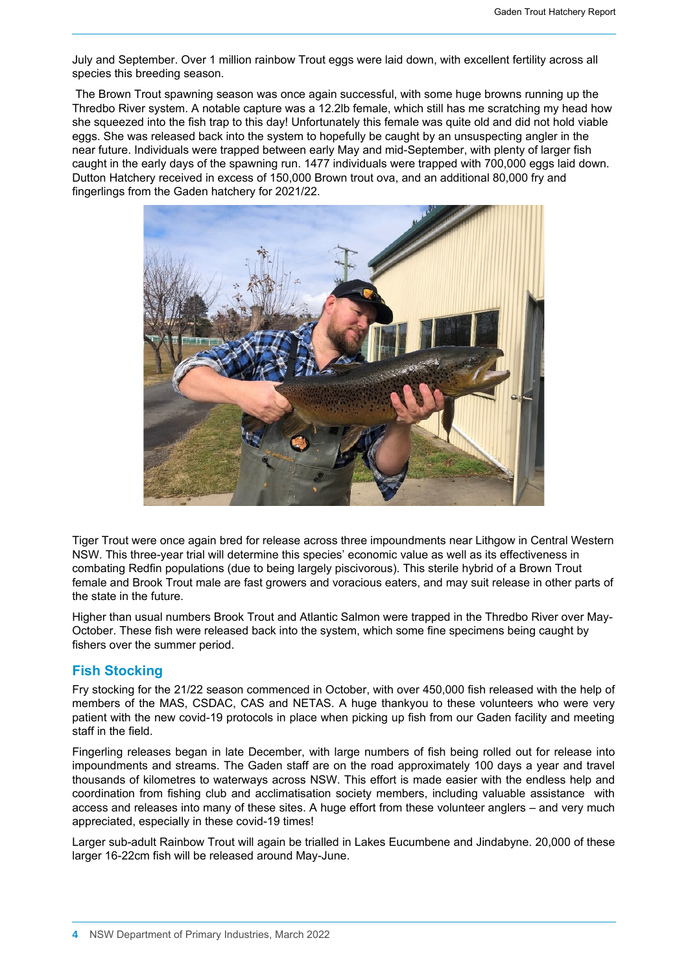July and September. Over 1 million rainbow Trout eggs were laid down, with excellent fertility across all species this breeding season.

 The Brown Trout spawning season was once again successful, with some huge browns running up the Thredbo River system. A notable capture was a 12.2lb female, which still has me scratching my head how she squeezed into the fish trap to this day! Unfortunately this female was quite old and did not hold viable eggs. She was released back into the system to hopefully be caught by an unsuspecting angler in the near future. Individuals were trapped between early May and mid-September, with plenty of larger fish caught in the early days of the spawning run. 1477 individuals were trapped with 700,000 eggs laid down. Dutton Hatchery received in excess of 150,000 Brown trout ova, and an additional 80,000 fry and fingerlings from the Gaden hatchery for 2021/22.



Tiger Trout were once again bred for release across three impoundments near Lithgow in Central Western NSW. This three-year trial will determine this species' economic value as well as its effectiveness in combating Redfin populations (due to being largely piscivorous). This sterile hybrid of a Brown Trout female and Brook Trout male are fast growers and voracious eaters, and may suit release in other parts of the state in the future.

Higher than usual numbers Brook Trout and Atlantic Salmon were trapped in the Thredbo River over May-October. These fish were released back into the system, which some fine specimens being caught by fishers over the summer period.

# **Fish Stocking**

Fry stocking for the 21/22 season commenced in October, with over 450,000 fish released with the help of members of the MAS, CSDAC, CAS and NETAS. A huge thankyou to these volunteers who were very patient with the new covid-19 protocols in place when picking up fish from our Gaden facility and meeting staff in the field.

Fingerling releases began in late December, with large numbers of fish being rolled out for release into impoundments and streams. The Gaden staff are on the road approximately 100 days a year and travel thousands of kilometres to waterways across NSW. This effort is made easier with the endless help and coordination from fishing club and acclimatisation society members, including valuable assistance with access and releases into many of these sites. A huge effort from these volunteer anglers – and very much appreciated, especially in these covid-19 times!

Larger sub-adult Rainbow Trout will again be trialled in Lakes Eucumbene and Jindabyne. 20,000 of these larger 16-22cm fish will be released around May-June.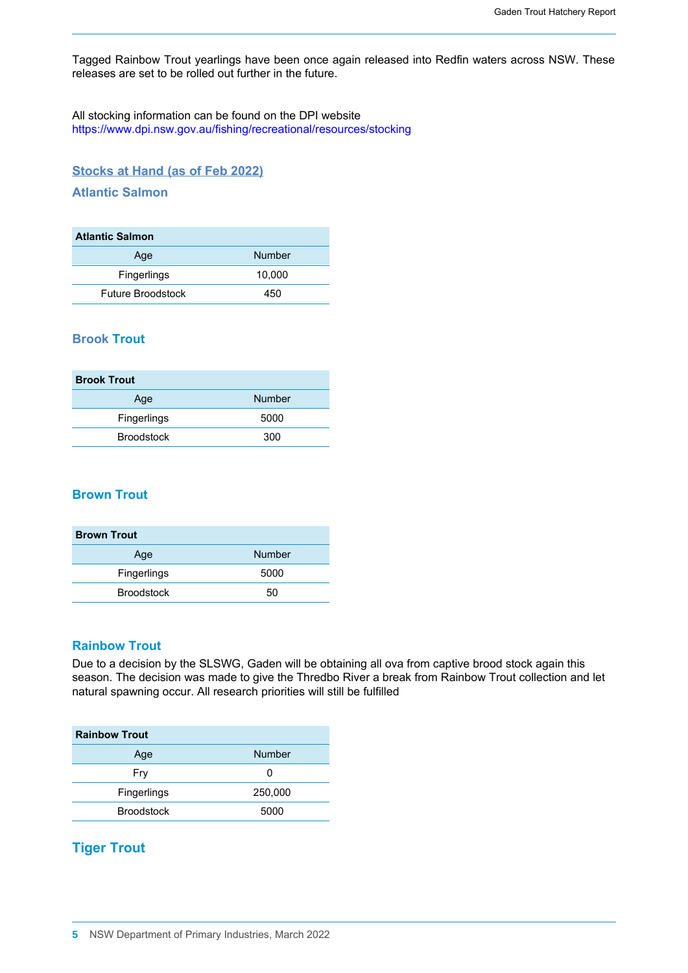Tagged Rainbow Trout yearlings have been once again released into Redfin waters across NSW. These releases are set to be rolled out further in the future.

All stocking information can be found on the DPI website <https://www.dpi.nsw.gov.au/fishing/recreational/resources/stocking>

#### **Stocks at Hand (as of Feb 2022)**

#### **Atlantic Salmon**

| <b>Atlantic Salmon</b>   |        |
|--------------------------|--------|
| Age                      | Number |
| <b>Fingerlings</b>       | 10.000 |
| <b>Future Broodstock</b> | 450    |

# **Brook Trout**

| <b>Brook Trout</b> |        |
|--------------------|--------|
| Age                | Number |
| Fingerlings        | 5000   |
| <b>Broodstock</b>  | 300    |
|                    |        |

### **Brown Trout**

| <b>Brown Trout</b> |               |
|--------------------|---------------|
| Age                | <b>Number</b> |
| Fingerlings        | 5000          |
| <b>Broodstock</b>  | 50            |

#### **Rainbow Trout**

Due to a decision by the SLSWG, Gaden will be obtaining all ova from captive brood stock again this season. The decision was made to give the Thredbo River a break from Rainbow Trout collection and let natural spawning occur. All research priorities will still be fulfilled

| <b>Rainbow Trout</b> |         |
|----------------------|---------|
| Age                  | Number  |
| Fry                  | 0       |
| <b>Fingerlings</b>   | 250,000 |
| <b>Broodstock</b>    | 5000    |

## **Tiger Trout**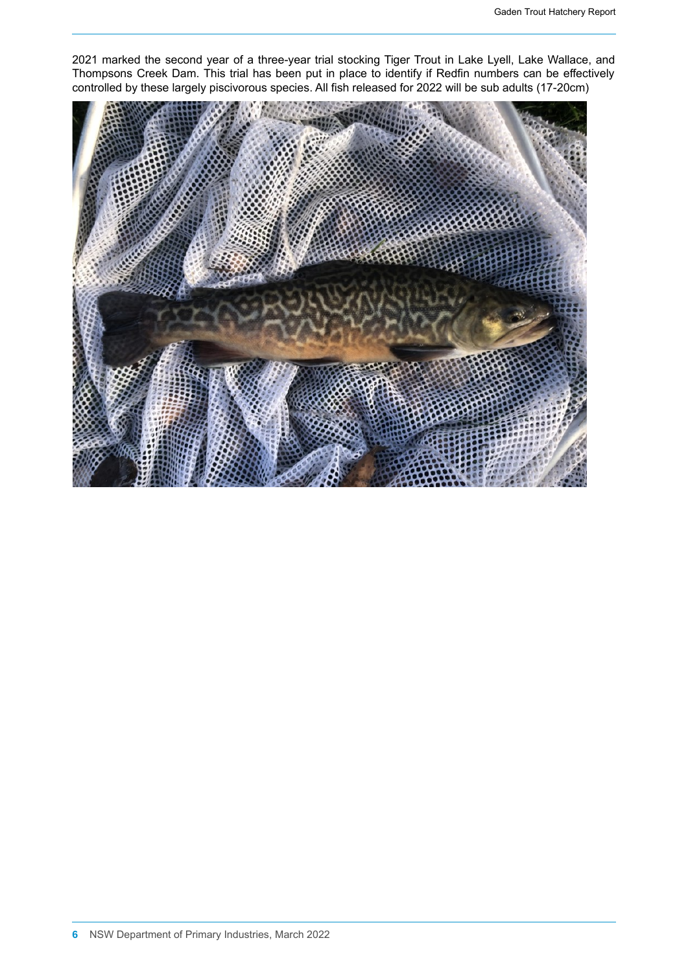2021 marked the second year of a three-year trial stocking Tiger Trout in Lake Lyell, Lake Wallace, and Thompsons Creek Dam. This trial has been put in place to identify if Redfin numbers can be effectively controlled by these largely piscivorous species. All fish released for 2022 will be sub adults (17-20cm)